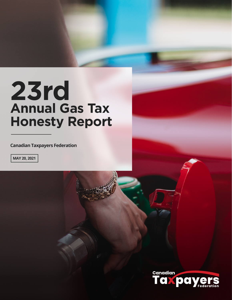# **23rd Annual Gas Tax Honesty Report**

**Canadian Taxpayers Federation**

**MAY 20, 2021**

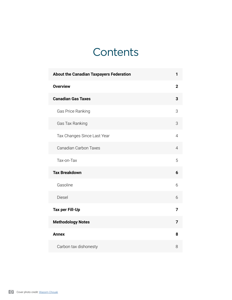## **Contents**

| <b>About the Canadian Taxpayers Federation</b> | 1              |
|------------------------------------------------|----------------|
| <b>Overview</b>                                | $\overline{2}$ |
| <b>Canadian Gas Taxes</b>                      | 3              |
| Gas Price Ranking                              | 3              |
| Gas Tax Ranking                                | 3              |
| Tax Changes Since Last Year                    | $\overline{4}$ |
| <b>Canadian Carbon Taxes</b>                   | $\overline{4}$ |
| Tax-on-Tax                                     | 5              |
| <b>Tax Breakdown</b>                           | 6              |
| Gasoline                                       | 6              |
| <b>Diesel</b>                                  | 6              |
| <b>Tax per Fill-Up</b>                         | 7              |
| <b>Methodology Notes</b>                       | 7              |
| <b>Annex</b>                                   | 8              |
| Carbon tax dishonesty                          | 8              |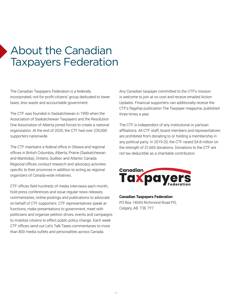## <span id="page-2-0"></span>About the Canadian Taxpayers Federation

The Canadian Taxpayers Federation is a federally incorporated, not-for-profit citizens' group dedicated to lower taxes, less waste and accountable government.

The CTF was founded in Saskatchewan in 1990 when the Association of Saskatchewan Taxpayers and the Resolution One Association of Alberta joined forces to create a national organization. At the end of 2020, the CTF had over 235,000 supporters nationwide.

The CTF maintains a federal office in Ottawa and regional offices in British Columbia, Alberta, Prairie (Saskatchewan and Manitoba), Ontario, Québec and Atlantic Canada. Regional offices conduct research and advocacy activities specific to their provinces in addition to acting as regional organizers of Canada-wide initiatives.

CTF offices field hundreds of media interviews each month, hold press conferences and issue regular news releases, commentaries, online postings and publications to advocate on behalf of CTF supporters. CTF representatives speak at functions, make presentations to government, meet with politicians and organize petition drives, events and campaigns to mobilize citizens to effect public policy change. Each week CTF offices send out Let's Talk Taxes commentaries to more than 800 media outlets and personalities across Canada.

Any Canadian taxpayer committed to the CTF's mission is welcome to join at no cost and receive emailed Action Updates. Financial supporters can additionally receive the CTF's flagship publication The Taxpayer magazine, published three times a year.

The CTF is independent of any institutional or partisan affiliations. All CTF staff, board members and representatives are prohibited from donating to or holding a membership in any political party. In 2019-20, the CTF raised \$4.8 million on the strength of 31,665 donations. Donations to the CTF are not tax deductible as a charitable contribution.



**Canadian Taxpayers Federation** PO Box 14043 Richmond Road PO, Calgary, AB T3E 7Y7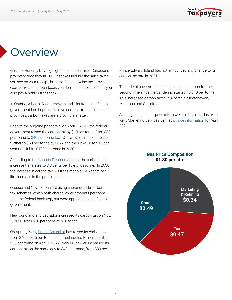

## <span id="page-3-0"></span>**Overview**

Gas Tax Honesty Day highlights the hidden taxes Canadians pay every time they fill-up. Gas taxes include the sales taxes you see on your receipt, but also federal excise tax, provincial excise tax, and carbon taxes you don't see. In some cities, you also pay a hidden transit tax.

In Ontario, Alberta, Saskatchewan and Manitoba, the federal government has imposed its own carbon tax. In all other provinces, carbon taxes are a provincial matter.

Despite the ongoing pandemic, on April 1, 2021, the federal government raised the carbon tax by \$10 per tonne from \$30 per tonne to [\\$40 per tonne tax](https://www.canada.ca/en/revenue-agency/services/forms-publications/publications/fcrates/fuel-charge-rates.html). Ottawa's [plan](https://www.canada.ca/en/services/environment/weather/climatechange/climate-plan/climate-plan-overview/healthy-environment-healthy-economy.html#toc0) is to increase it further to \$50 per tonne by 2022 and then it will rise \$15 per year until it hits \$170 per tonne in 2030.

According to the [Canada Revenue Agency,](https://www.canada.ca/en/revenue-agency/services/forms-publications/publications/fcrates/fuel-charge-rates.html) the carbon tax increase translates to 8.8 cents per litre of gasoline. In 2030, the increase in carbon tax will translate to a 39.6 cents per litre increase in the price of gasoline.

Quebec and Nova Scotia are using cap-and-trade carbon tax schemes, which both charge lower amounts per tonne than the federal backstop, but were approved by the federal government.

Newfoundland and Labrador increased its carbon tax on Nov. 7, 2020, from \$20 per tonne to \$30 tonne.

On April 1, 2021, [British Columbia](https://www2.gov.bc.ca/gov/content/environment/climate-change/planning-and-action/carbon-tax#:~:text=On%20April%201%2C%202019%2C%20B.C.,increase%20was%20postponed%20in%202020.) has raised its carbon tax from \$40 to \$45 per tonne and is scheduled to increase it to \$50 per tonne on April 1, 2022. New Brunswick increased its carbon tax on the same day to \$40 per tonne, from \$30 per tonne.

Prince Edward Island has not announced any change to its carbon tax rate in 2021.

The federal government has increased its carbon for the second time since the pandemic started, to \$40 per tonne. This increased carbon taxes in Alberta, Saskatchewan, Manitoba and Ontario.

All the gas and diesel price information in this report is from Kent Marketing Services Limited's [price information](http://charting.kentgroupltd.com/) for April 2021.



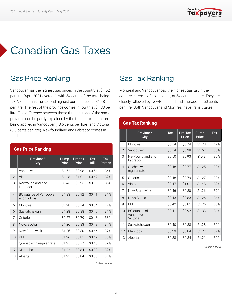

## <span id="page-4-0"></span>Canadian Gas Taxes

### Gas Price Ranking

Vancouver has the highest gas prices in the country at \$1.52 per litre (April 2021 average), with 54 cents of the total being tax. Victoria has the second highest pump prices at \$1.48 per litre. The rest of the province comes in fourth at \$1.33 per litre. The difference between those three regions of the same province can be partly explained by the transit taxes that are being applied in Vancouver (18.5 cents per litre) and Victoria (5.5 cents per litre). Newfoundland and Labrador comes in third.

|                | <b>Gas Price Ranking</b>                       |               |                  |                           |                              |  |  |  |  |  |
|----------------|------------------------------------------------|---------------|------------------|---------------------------|------------------------------|--|--|--|--|--|
|                | Province/<br>City                              | Pump<br>Price | Pre-tax<br>Price | <b>Tax</b><br><b>Bill</b> | <b>Tax</b><br><b>Portion</b> |  |  |  |  |  |
| 1              | Vancouver                                      | \$1.52        | \$0.98           | \$0.54                    | 36%                          |  |  |  |  |  |
| $\overline{2}$ | Victoria                                       | \$1.48        | \$1.01           | \$0.47                    | 32%                          |  |  |  |  |  |
| 3              | Newfoundland and<br>Labrador                   | \$1.43        | \$0.93           | \$0.50                    | 35%                          |  |  |  |  |  |
| $\overline{4}$ | <b>BC</b> outside of Vancouver<br>and Victoria | \$1.33        | <b>SO.92</b>     | <b>SO.41</b>              | 31%                          |  |  |  |  |  |
| 5              | Montréal                                       | \$1.28        | \$0.74           | \$0.54                    | 42%                          |  |  |  |  |  |
| 6              | Saskatchewan                                   | \$1.28        | \$0.88           | \$0.40                    | 31%                          |  |  |  |  |  |
| 7              | Ontario                                        | \$1.27        | \$0.79           | \$0.48                    | 38%                          |  |  |  |  |  |
| 8              | Nova Scotia                                    | \$1.26        | \$0.83           | \$0.43                    | 34%                          |  |  |  |  |  |
| 9              | New Brunswick                                  | \$1.26        | \$0.80           | \$0.46                    | 37%                          |  |  |  |  |  |
| 10             | PEI                                            | \$1.26        | \$0.85           | \$0.42                    | 33%                          |  |  |  |  |  |
| 11             | Quebec with regular rate                       | \$1.25        | \$0.77           | \$0.48                    | 39%                          |  |  |  |  |  |
| 12             | Manitoba                                       | \$1.22        | \$0.84           | \$0.39                    | 32%                          |  |  |  |  |  |
| 13             | Alberta                                        | \$1.21        | \$0.84           | \$0.38                    | 31%                          |  |  |  |  |  |

### Gas Tax Ranking

Montreal and Vancouver pay the highest gas tax in the country in terms of dollar value, at 54 cents per litre. They are closely followed by Newfoundland and Labrador at 50 cents per litre. Both Vancouver and Montreal have transit taxes.

| <b>Gas Tax Ranking</b> |                                            |            |                  |               |            |  |  |  |  |
|------------------------|--------------------------------------------|------------|------------------|---------------|------------|--|--|--|--|
|                        | Province/<br>City                          | <b>Tax</b> | Pre-Tax<br>Price | Pump<br>Price | <b>Tax</b> |  |  |  |  |
| 1                      | Montreal                                   | \$0.54     | \$0.74           | \$1.28        | 42%        |  |  |  |  |
| $\overline{2}$         | Vancouver                                  | \$0.54     | \$0.98           | \$1.52        | 36%        |  |  |  |  |
| 3                      | Newfoundland and<br>Labrador               | \$0.50     | \$0.93           | \$1.43        | 35%        |  |  |  |  |
| 4                      | Ouebec with<br>regular rate                | \$0.48     | \$0.77           | \$1.25        | 39%        |  |  |  |  |
| 5                      | Ontario                                    | \$0.48     | \$0.79           | \$1.27        | 38%        |  |  |  |  |
| 6                      | Victoria                                   | \$0.47     | \$1.01           | \$1.48        | 32%        |  |  |  |  |
| 7                      | New Brunswick                              | \$0.46     | \$0.80           | \$1.26        | 37%        |  |  |  |  |
| 8                      | Nova Scotia                                | \$0.43     | \$0.83           | \$1.26        | 34%        |  |  |  |  |
| g                      | PFI                                        | \$0.42     | \$0.85           | \$1.26        | 33%        |  |  |  |  |
| 10                     | BC outside of<br>Vancouver and<br>Victoria | \$0.41     | \$0.92           | \$1.33        | 31%        |  |  |  |  |
| 11                     | Saskatchewan                               | \$0.40     | \$0.88           | \$1.28        | 31%        |  |  |  |  |
| 12                     | Manitoba                                   | \$0.39     | \$0.84           | \$1.22        | 32%        |  |  |  |  |
| 13                     | Alberta                                    | \$0.38     | \$0.84           | \$1.21        | 31%        |  |  |  |  |

*\*Dollars per litre*

*\*Dollars per litre*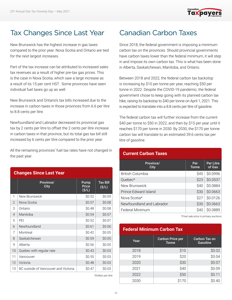

### <span id="page-5-0"></span>Tax Changes Since Last Year

New Brunswick has the highest increase in gas taxes compared to the prior year. Nova Scotia and Ontario are tied for the next largest increases.

Part of the tax increase can be attributed to increased sales tax revenues as a result of higher pre-tax gas prices. This is the case in Nova Scotia, which saw a large increase as a result of its 15 per cent HST. Some provinces have seen individual fuel taxes go up as well.

New Brunswick and Ontario's tax bills increased due to the increase in carbon taxes in those provinces from 6.6 per litre to 8.8 cents per litre.

Newfoundland and Labrador decreased its provincial gas tax by 2 cents per litre to offset the 2 cents per litre increase in carbon taxes in that province, but its total gas tax bill still increased by 6 cents per litre compared to the prior year.

All the remaining provinces' fuel tax rates have not changed in the past year.

#### **Changes Since Last Year**

|                | Province/<br>City                    | Pump<br>Price<br>(S/L) | <b>Tax Bill</b><br>(S/L) |
|----------------|--------------------------------------|------------------------|--------------------------|
| 1              | New Brunswick                        | \$0.52                 | \$0.09                   |
| $\overline{2}$ | Nova Scotia                          | \$0.57                 | \$0.08                   |
| 3              | Ontario                              | \$0.48                 | \$0.08                   |
| $\overline{4}$ | Manitoba                             | \$0.54                 | \$0.07                   |
| 5              | PFI                                  | \$0.52                 | \$0.07                   |
| 6              | Newfoundland                         | \$0.61                 | \$0.06                   |
| 7              | Montreal                             | \$0.42                 | \$0.05                   |
| 8              | Saskatchewan                         | \$0.59                 | \$0.05                   |
| 9              | Alberta                              | \$0.56                 | \$0.05                   |
| 10             | Quebec with regular rate             | \$0.43                 | \$0.03                   |
| 11             | Vancouver                            | \$0.55                 | \$0.03                   |
| 12             | Victoria                             | \$0.48                 | \$0.03                   |
| 13             | BC outside of Vancouver and Victoria | \$0.47                 | \$0.03                   |

*\*Dollars per litre*

## Canadian Carbon Taxes

Since 2018, the federal government is imposing a minimum carbon tax on the provinces. Should provincial governments have carbon taxes lower than the federal minimum, it will step in and impose its own carbon tax. This is what has been done in Alberta, Saskatchewan, Manitoba, and Ontario.

Between 2018 and 2022, the federal carbon tax backstop is increasing by \$10 per tonne per year, reaching \$50 per tonne in 2022. Despite the COVID-19 pandemic, the federal government chose to keep going with its planned carbon tax hike, raising its backstop to \$40 per tonne on April 1, 2021. This is expected to translate into a 8.8 cents per litre of gasoline.

The federal carbon tax will further increase from the current \$40 per tonne to \$50 in 2022, and then by \$15 per year until it reaches \$170 per tonne in 2030. By 2030, the \$170 per tonne carbon tax will translate to an estimated 39.6 cents tax per litre of gasoline.

#### **Current Carbon Taxes**

| Province/<br>City         | Per<br><b>Tonne</b> | <b>Per Litre</b><br>of Gas |
|---------------------------|---------------------|----------------------------|
| British Columbia          | <b>S45</b>          | \$0.0996                   |
| Ouebec $*$                | \$23                | \$0.0537                   |
| New Brunswick             | \$40                | \$0.0884                   |
| Prince Edward Island      | \$30                | \$0.0663                   |
| Nova Scotia*              | S <sub>27</sub>     | \$0.0126                   |
| Newfoundland and Labrador | \$30                | \$0.0663                   |
| Federal Minimum           | S40                 | \$0.0889                   |

*\*Final sale price in primary auctions*

#### **Federal Minimum Carbon Tax**

| Year | <b>Carbon Price per</b><br><b>Tonne</b> | <b>Carbon Tax on</b><br><b>Gasoline</b> |
|------|-----------------------------------------|-----------------------------------------|
| 2018 | \$10                                    | \$0.02                                  |
| 2019 | \$20                                    | \$0.04                                  |
| 2020 | \$30                                    | \$0.07                                  |
| 2021 | \$40                                    | \$0.09                                  |
| 2022 | \$50                                    | \$0.11                                  |
| 2030 | \$170                                   | \$0.40                                  |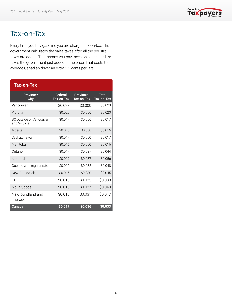

### <span id="page-6-0"></span>Tax-on-Tax

Every time you buy gasoline you are charged tax-on-tax. The government calculates the sales taxes after all the per-litre taxes are added. That means you pay taxes on all the per-litre taxes the government just added to the price. That costs the average Canadian driver an extra 3.3 cents per litre.

#### **Tax-on-Tax**

| Province/<br>City                       | Federal<br>Tax-on-Tax | <b>Provincial</b><br>Tax-on-Tax | <b>Total</b><br>Tax-on-Tax |
|-----------------------------------------|-----------------------|---------------------------------|----------------------------|
| Vancouver                               | \$0.023               | \$0.000                         | \$0.023                    |
| Victoria                                | \$0.020               | \$0.000                         | \$0.020                    |
| BC outside of Vancouver<br>and Victoria | \$0.017               | \$0.000                         | \$0.017                    |
| Alberta                                 | \$0.016               | \$0.000                         | \$0.016                    |
| Saskatchewan                            | \$0.017               | \$0.000                         | \$0.017                    |
| Manitoba                                | \$0.016               | \$0.000                         | \$0.016                    |
| Ontario                                 | \$0.017               | \$0.027                         | \$0.044                    |
| Montreal                                | \$0.019               | \$0.037                         | \$0.056                    |
| Quebec with regular rate                | \$0.016               | \$0.032                         | \$0.048                    |
| New Brunswick                           | \$0.015               | \$0.030                         | \$0.045                    |
| PFI                                     | \$0.013               | \$0.025                         | \$0.038                    |
| Nova Scotia                             | \$0.013               | \$0.027                         | \$0.040                    |
| Newfoundland and<br>Labrador            | \$0.016               | \$0.031                         | \$0.047                    |
| Canada                                  | \$0.017               | \$0.016                         | \$0.033                    |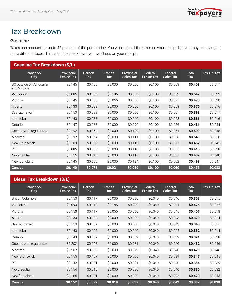

## <span id="page-7-0"></span>Tax Breakdown

#### Gasoline

Taxes can account for up to 42 per cent of the pump price. You won't see all the taxes on your receipt, but you may be paying up to six different taxes. This is the tax breakdown you won't see on your receipt.

| <b>Gasoline Tax Breakdown (\$/L)</b>    |                                        |               |                       |                                       |                              |                             |                            |            |  |
|-----------------------------------------|----------------------------------------|---------------|-----------------------|---------------------------------------|------------------------------|-----------------------------|----------------------------|------------|--|
| Province/<br><b>City</b>                | <b>Provincial</b><br><b>Excise Tax</b> | Carbon<br>Tax | <b>Transit</b><br>Tax | <b>Provincial</b><br><b>Sales Tax</b> | Federal<br><b>Excise Tax</b> | Federal<br><b>Sales Tax</b> | <b>Total</b><br><b>Tax</b> | Tax-On-Tax |  |
| BC outside of Vancouver<br>and Victoria | \$0.145                                | \$0.100       | \$0.000               | \$0.000                               | \$0.100                      | \$0.063                     | \$0.408                    | \$0.017    |  |
| Vancouver                               | \$0.085                                | \$0.100       | \$0.185               | \$0.000                               | \$0.100                      | \$0.072                     | \$0.542                    | \$0.023    |  |
| Victoria                                | \$0.145                                | \$0.100       | \$0.055               | \$0.000                               | \$0.100                      | \$0.071                     | \$0.470                    | \$0.020    |  |
| Alberta                                 | \$0.130                                | \$0.088       | \$0.000               | \$0.000                               | \$0.100                      | \$0.058                     | \$0.376                    | \$0.016    |  |
| Saskatchewan                            | \$0.150                                | \$0.088       | \$0.000               | \$0.000                               | \$0.100                      | \$0.061                     | \$0.399                    | \$0.017    |  |
| Manitoba                                | \$0.140                                | \$0.088       | \$0.000               | \$0.000                               | \$0.100                      | \$0.058                     | \$0.386                    | \$0.016    |  |
| Ontario                                 | \$0.147                                | \$0.088       | \$0.000               | \$0.090                               | \$0.100                      | \$0.056                     | \$0.481                    | \$0.044    |  |
| Quebec with regular rate                | \$0.192                                | \$0.054       | \$0.000               | \$0.109                               | \$0.100                      | \$0.054                     | \$0.509                    | \$0.048    |  |
| Montreal                                | \$0.192                                | \$0.054       | \$0.030               | \$0.111                               | \$0.100                      | \$0.056                     | \$0.543                    | \$0.056    |  |
| New Brunswick                           | \$0.109                                | \$0.088       | \$0.000               | \$0.110                               | \$0.100                      | \$0.055                     | \$0.462                    | \$0.045    |  |
| PEI                                     | \$0.085                                | \$0.066       | \$0.000               | \$0.110                               | \$0.100                      | \$0.055                     | \$0.415                    | \$0.038    |  |
| Nova Scotia                             | \$0.155                                | \$0.013       | \$0.000               | \$0.110                               | \$0.100                      | \$0.055                     | \$0.432                    | \$0.040    |  |
| Newfoundland                            | \$0.145                                | \$0.066       | \$0.000               | \$0.124                               | \$0.100                      | \$0.062                     | \$0.498                    | \$0.047    |  |
| <b>Canada</b>                           | \$0.140                                | \$0.076       | \$0.021               | \$0.059                               | \$0.100                      | \$0.060                     | \$0.455                    | \$0.033    |  |

#### **Diesel Tax Breakdown (\$/L)**

| Province/<br><b>City</b> | <b>Provincial</b><br><b>Excise Tax</b> | Carbon<br><b>Tax</b> | <b>Transit</b><br><b>Tax</b> | <b>Provincial</b><br><b>Sales Tax</b> | Federal<br><b>Excise Tax</b> | Federal<br><b>Sales Tax</b> | <b>Total</b><br><b>Tax</b> | Tax-On-Tax |
|--------------------------|----------------------------------------|----------------------|------------------------------|---------------------------------------|------------------------------|-----------------------------|----------------------------|------------|
| <b>British Columbia</b>  | \$0.150                                | \$0.117              | \$0.000                      | \$0.000                               | \$0.040                      | \$0.046                     | \$0.353                    | \$0.015    |
| Vancouver                | \$0.090                                | \$0.117              | \$0.185                      | \$0.000                               | \$0.040                      | \$0.044                     | \$0.476                    | \$0.022    |
| Victoria                 | \$0.150                                | \$0.117              | \$0.055                      | \$0.000                               | \$0.040                      | \$0.045                     | \$0.407                    | \$0.018    |
| Alberta                  | \$0.130                                | \$0.107              | \$0.000                      | \$0.000                               | \$0.040                      | \$0.043                     | \$0.320                    | \$0.014    |
| Saskatchewan             | \$0.150                                | \$0.107              | \$0.000                      | \$0.000                               | \$0.040                      | \$0.043                     | \$0.340                    | \$0.015    |
| Manitoba                 | \$0.140                                | \$0.107              | \$0.000                      | \$0.000                               | \$0.040                      | \$0.045                     | \$0.332                    | \$0.014    |
| Ontario                  | \$0.143                                | \$0.107              | \$0.000                      | \$0.062                               | \$0.040                      | \$0.039                     | \$0.391                    | \$0.038    |
| Quebec with regular rate | \$0.202                                | \$0.068              | \$0.000                      | \$0.081                               | \$0.040                      | \$0.040                     | \$0.432                    | \$0.046    |
| Montreal                 | \$0.202                                | \$0.068              | \$0.000                      | \$0.079                               | \$0.040                      | \$0.040                     | \$0.429                    | \$0.046    |
| New Brunswick            | \$0.155                                | \$0.107              | \$0.000                      | \$0.006                               | \$0.040                      | \$0.039                     | \$0.347                    | \$0.045    |
| PEI                      | \$0.142                                | \$0.081              | \$0.000                      | \$0.081                               | \$0.040                      | \$0.040                     | \$0.384                    | \$0.039    |
| Nova Scotia              | \$0.154                                | \$0.016              | \$0.000                      | \$0.080                               | \$0.040                      | \$0.040                     | \$0.330                    | \$0.032    |
| Newfoundland             | \$0.165                                | \$0.081              | \$0.000                      | \$0.090                               | \$0.040                      | \$0.045                     | \$0.420                    | \$0.043    |
| Canada                   | \$0.152                                | \$0.092              | \$0.018                      | \$0.037                               | \$0.040                      | \$0.042                     | \$0.382                    | \$0.030    |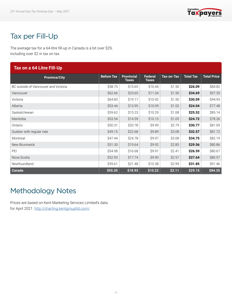

## <span id="page-8-0"></span>Tax per Fill-Up

The average tax for a 64-litre fill-up in Canada is a bit over \$29, including over \$2 in tax on tax.

| Tax on a 64 Litre Fill-Up            |                   |                                   |                                |                   |                  |                    |  |  |  |
|--------------------------------------|-------------------|-----------------------------------|--------------------------------|-------------------|------------------|--------------------|--|--|--|
| <b>Province/City</b>                 | <b>Before Tax</b> | <b>Provincial</b><br><b>Taxes</b> | <b>Federal</b><br><b>Taxes</b> | <b>Tax-on-Tax</b> | <b>Total Tax</b> | <b>Total Price</b> |  |  |  |
| BC outside of Vancouver and Victoria | \$58.73           | \$15.65                           | \$10.44                        | \$1.50            | \$26.09          | \$84.82            |  |  |  |
| Vancouver                            | \$62.66           | \$23.65                           | \$11.04                        | \$1.50            | \$34.69          | \$97.35            |  |  |  |
| Victoria                             | \$64.83           | \$19.17                           | \$10.92                        | \$1.50            | \$30.09          | \$94.93            |  |  |  |
| Alberta                              | \$53.44           | \$13.95                           | \$10.09                        | \$1.02            | \$24.04          | \$77.48            |  |  |  |
| Saskatchewan                         | \$59.62           | \$15.23                           | \$10.29                        | \$1.08            | \$25.52          | \$85.14            |  |  |  |
| Manitoba                             | \$53.54           | \$14.59                           | \$10.13                        | \$1.05            | \$24.72          | \$78.26            |  |  |  |
| Ontario                              | \$50.31           | \$20.78                           | \$9.99                         | \$2.79            | \$30.77          | \$81.09            |  |  |  |
| Quebec with regular rate             | \$49.15           | \$22.68                           | \$9.89                         | \$3.08            | \$32.57          | \$81.72            |  |  |  |
| Montreal                             | \$47.44           | \$24.78                           | \$9.97                         | \$3.08            | \$34.75          | \$82.19            |  |  |  |
| New Brunswick                        | \$51.30           | \$19.64                           | \$9.92                         | \$2.85            | \$29.56          | \$80.86            |  |  |  |
| PEI                                  | \$54.08           | \$16.68                           | \$9.91                         | \$2.41            | \$26.59          | \$80.67            |  |  |  |
| Nova Scotia                          | \$52.93           | \$17.74                           | \$9.90                         | \$2.57            | \$27.64          | \$80.57            |  |  |  |
| Newfoundland                         | \$59.61           | \$21.48                           | \$10.38                        | \$2.99            | \$31.85          | \$91.46            |  |  |  |
| Canada                               | \$55.20           | \$18.93                           | \$10.22                        | \$2.11            | \$29.15          | \$84.35            |  |  |  |

## Methodology Notes

Prices are based on Kent Marketing Services Limited's data for April 2021. <http://charting.kentgroupltd.com/>